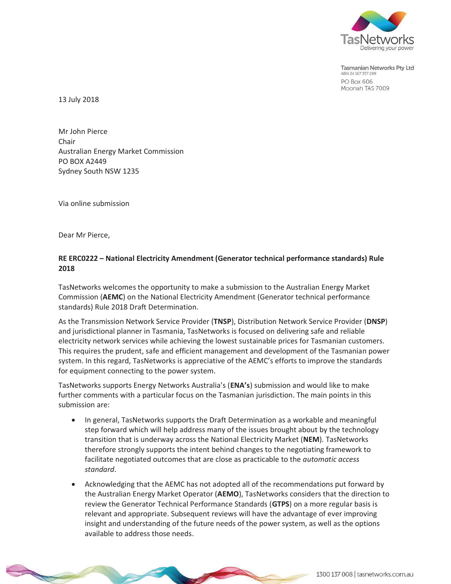

Tasmanian Networks Pty Ltd ABN 24 167 357 299 **PO Box 606** Moonah TAS 7009

13 July 2018

Mr John Pierce Chair Australian Energy Market Commission PO BOX A2449 Sydney South NSW 1235

Via online submission

Dear Mr Pierce,

## **RE ERC0222 – National Electricity Amendment (Generator technical performance standards) Rule 2018**

TasNetworks welcomes the opportunity to make a submission to the Australian Energy Market Commission (**AEMC**) on the National Electricity Amendment (Generator technical performance standards) Rule 2018 Draft Determination.

As the Transmission Network Service Provider (**TNSP**), Distribution Network Service Provider (**DNSP**) and jurisdictional planner in Tasmania, TasNetworks is focused on delivering safe and reliable electricity network services while achieving the lowest sustainable prices for Tasmanian customers. This requires the prudent, safe and efficient management and development of the Tasmanian power system. In this regard, TasNetworks is appreciative of the AEMC's efforts to improve the standards for equipment connecting to the power system.

TasNetworks supports Energy Networks Australia's (**ENA's**) submission and would like to make further comments with a particular focus on the Tasmanian jurisdiction. The main points in this submission are:

- In general, TasNetworks supports the Draft Determination as a workable and meaningful step forward which will help address many of the issues brought about by the technology transition that is underway across the National Electricity Market (**NEM**). TasNetworks therefore strongly supports the intent behind changes to the negotiating framework to facilitate negotiated outcomes that are close as practicable to the *automatic access standard*.
- Acknowledging that the AEMC has not adopted all of the recommendations put forward by the Australian Energy Market Operator (**AEMO**), TasNetworks considers that the direction to review the Generator Technical Performance Standards (**GTPS**) on a more regular basis is relevant and appropriate. Subsequent reviews will have the advantage of ever improving insight and understanding of the future needs of the power system, as well as the options available to address those needs.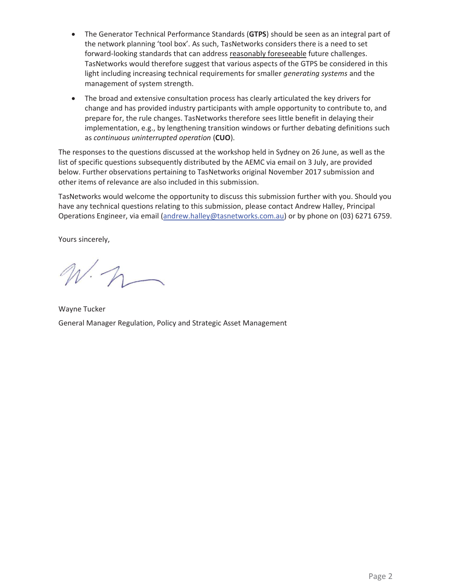- The Generator Technical Performance Standards (GTPS) should be seen as an integral part of the network planning 'tool box'. As such, TasNetworks considers there is a need to set forward-looking standards that can address reasonably foreseeable future challenges. TasNetworks would therefore suggest that various aspects of the GTPS be considered in this light including increasing technical requirements for smaller *generating systems* and the management of system strength.
- The broad and extensive consultation process has clearly articulated the key drivers for change and has provided industry participants with ample opportunity to contribute to, and prepare for, the rule changes. TasNetworks therefore sees little benefit in delaying their implementation, e.g., by lengthening transition windows or further debating definitions such as *continuous uninterrupted operation* (**CUO**).

The responses to the questions discussed at the workshop held in Sydney on 26 June, as well as the list of specific questions subsequently distributed by the AEMC via email on 3 July, are provided below. Further observations pertaining to TasNetworks original November 2017 submission and other items of relevance are also included in this submission.

TasNetworks would welcome the opportunity to discuss this submission further with you. Should you have any technical questions relating to this submission, please contact Andrew Halley, Principal Operations Engineer, via email (andrew.halley@tasnetworks.com.au) or by phone on (03) 6271 6759.

Yours sincerely,

 $N\cdot n$ 

Wayne Tucker General Manager Regulation, Policy and Strategic Asset Management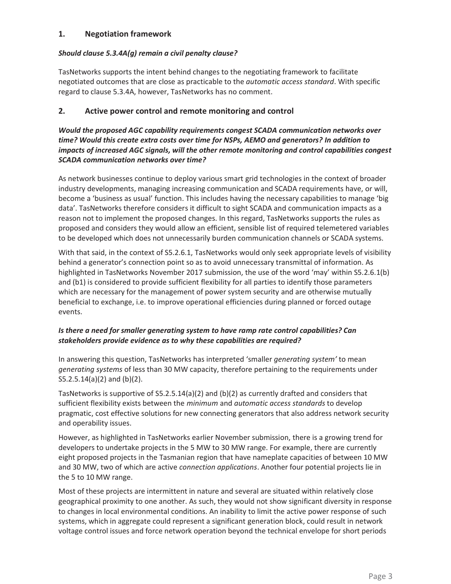# **1. Negotiation framework**

# *Should clause 5.3.4A(g) remain a civil penalty clause?*

TasNetworks supports the intent behind changes to the negotiating framework to facilitate negotiated outcomes that are close as practicable to the *automatic access standard*. With specific regard to clause 5.3.4A, however, TasNetworks has no comment.

# **2. Active power control and remote monitoring and control**

*Would the proposed AGC capability requirements congest SCADA communication networks over time? Would this create extra costs over time for NSPs, AEMO and generators? In addition to impacts of increased AGC signals, will the other remote monitoring and control capabilities congest SCADA communication networks over time?* 

As network businesses continue to deploy various smart grid technologies in the context of broader industry developments, managing increasing communication and SCADA requirements have, or will, become a 'business as usual' function. This includes having the necessary capabilities to manage 'big data'. TasNetworks therefore considers it difficult to sight SCADA and communication impacts as a reason not to implement the proposed changes. In this regard, TasNetworks supports the rules as proposed and considers they would allow an efficient, sensible list of required telemetered variables to be developed which does not unnecessarily burden communication channels or SCADA systems.

With that said, in the context of S5.2.6.1, TasNetworks would only seek appropriate levels of visibility behind a generator's connection point so as to avoid unnecessary transmittal of information. As highlighted in TasNetworks November 2017 submission, the use of the word 'may' within S5.2.6.1(b) and (b1) is considered to provide sufficient flexibility for all parties to identify those parameters which are necessary for the management of power system security and are otherwise mutually beneficial to exchange, i.e. to improve operational efficiencies during planned or forced outage events.

# *Is there a need for smaller generating system to have ramp rate control capabilities? Can stakeholders provide evidence as to why these capabilities are required?*

In answering this question, TasNetworks has interpreted 'smaller *generating system'* to mean *generating systems* of less than 30 MW capacity, therefore pertaining to the requirements under S5.2.5.14(a)(2) and (b)(2).

TasNetworks is supportive of S5.2.5.14(a)(2) and (b)(2) as currently drafted and considers that sufficient flexibility exists between the *minimum* and *automatic access standards* to develop pragmatic, cost effective solutions for new connecting generators that also address network security and operability issues.

However, as highlighted in TasNetworks earlier November submission, there is a growing trend for developers to undertake projects in the 5 MW to 30 MW range. For example, there are currently eight proposed projects in the Tasmanian region that have nameplate capacities of between 10 MW and 30 MW, two of which are active *connection applications*. Another four potential projects lie in the 5 to 10 MW range.

Most of these projects are intermittent in nature and several are situated within relatively close geographical proximity to one another. As such, they would not show significant diversity in response to changes in local environmental conditions. An inability to limit the active power response of such systems, which in aggregate could represent a significant generation block, could result in network voltage control issues and force network operation beyond the technical envelope for short periods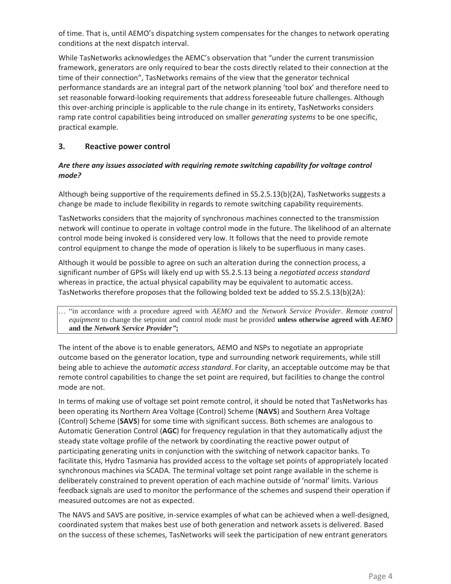of time. That is, until AEMO's dispatching system compensates for the changes to network operating conditions at the next dispatch interval.

While TasNetworks acknowledges the AEMC's observation that "under the current transmission framework, generators are only required to bear the costs directly related to their connection at the time of their connection", TasNetworks remains of the view that the generator technical performance standards are an integral part of the network planning 'tool box' and therefore need to set reasonable forward-looking requirements that address foreseeable future challenges. Although this over-arching principle is applicable to the rule change in its entirety, TasNetworks considers ramp rate control capabilities being introduced on smaller *generating systems* to be one specific, practical example.

# **3. Reactive power control**

### *Are there any issues associated with requiring remote switching capability for voltage control mode?*

Although being supportive of the requirements defined in S5.2.5.13(b)(2A), TasNetworks suggests a change be made to include flexibility in regards to remote switching capability requirements.

TasNetworks considers that the majority of synchronous machines connected to the transmission network will continue to operate in voltage control mode in the future. The likelihood of an alternate control mode being invoked is considered very low. It follows that the need to provide remote control equipment to change the mode of operation is likely to be superfluous in many cases.

Although it would be possible to agree on such an alteration during the connection process, a significant number of GPSs will likely end up with S5.2.5.13 being a *negotiated access standard* whereas in practice, the actual physical capability may be equivalent to automatic access. TasNetworks therefore proposes that the following bolded text be added to S5.2.5.13(b)(2A):

… "in accordance with a procedure agreed with *AEMO* and the *Network Service Provider*. *Remote control equipment* to change the setpoint and control mode must be provided **unless otherwise agreed with** *AEMO* **and the** *Network Service Provider"***;**

The intent of the above is to enable generators, AEMO and NSPs to negotiate an appropriate outcome based on the generator location, type and surrounding network requirements, while still being able to achieve the *automatic access standard*. For clarity, an acceptable outcome may be that remote control capabilities to change the set point are required, but facilities to change the control mode are not.

In terms of making use of voltage set point remote control, it should be noted that TasNetworks has been operating its Northern Area Voltage (Control) Scheme (**NAVS**) and Southern Area Voltage (Control) Scheme (**SAVS**) for some time with significant success. Both schemes are analogous to Automatic Generation Control (**AGC**) for frequency regulation in that they automatically adjust the steady state voltage profile of the network by coordinating the reactive power output of participating generating units in conjunction with the switching of network capacitor banks. To facilitate this, Hydro Tasmania has provided access to the voltage set points of appropriately located synchronous machines via SCADA. The terminal voltage set point range available in the scheme is deliberately constrained to prevent operation of each machine outside of 'normal' limits. Various feedback signals are used to monitor the performance of the schemes and suspend their operation if measured outcomes are not as expected.

The NAVS and SAVS are positive, in-service examples of what can be achieved when a well-designed, coordinated system that makes best use of both generation and network assets is delivered. Based on the success of these schemes, TasNetworks will seek the participation of new entrant generators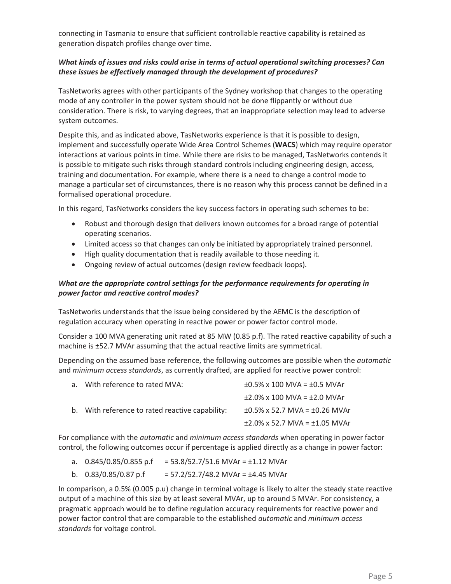connecting in Tasmania to ensure that sufficient controllable reactive capability is retained as generation dispatch profiles change over time.

## *What kinds of issues and risks could arise in terms of actual operational switching processes? Can these issues be effectively managed through the development of procedures?*

TasNetworks agrees with other participants of the Sydney workshop that changes to the operating mode of any controller in the power system should not be done flippantly or without due consideration. There is risk, to varying degrees, that an inappropriate selection may lead to adverse system outcomes.

Despite this, and as indicated above, TasNetworks experience is that it is possible to design, implement and successfully operate Wide Area Control Schemes (**WACS**) which may require operator interactions at various points in time. While there are risks to be managed, TasNetworks contends it is possible to mitigate such risks through standard controls including engineering design, access, training and documentation. For example, where there is a need to change a control mode to manage a particular set of circumstances, there is no reason why this process cannot be defined in a formalised operational procedure.

In this regard, TasNetworks considers the key success factors in operating such schemes to be:

- x Robust and thorough design that delivers known outcomes for a broad range of potential operating scenarios.
- Limited access so that changes can only be initiated by appropriately trained personnel.
- High quality documentation that is readily available to those needing it.
- Ongoing review of actual outcomes (design review feedback loops).

### *What are the appropriate control settings for the performance requirements for operating in power factor and reactive control modes?*

TasNetworks understands that the issue being considered by the AEMC is the description of regulation accuracy when operating in reactive power or power factor control mode.

Consider a 100 MVA generating unit rated at 85 MW (0.85 p.f). The rated reactive capability of such a machine is ±52.7 MVAr assuming that the actual reactive limits are symmetrical.

Depending on the assumed base reference, the following outcomes are possible when the *automatic* and *minimum access standards*, as currently drafted, are applied for reactive power control:

| a. With reference to rated MVA:                 | $\pm 0.5\%$ x 100 MVA = $\pm 0.5$ MVAr   |
|-------------------------------------------------|------------------------------------------|
| b. With reference to rated reactive capability: | $\pm$ 2.0% x 100 MVA = $\pm$ 2.0 MVAr    |
|                                                 | $\pm 0.5\%$ x 52.7 MVA = $\pm 0.26$ MVAr |
|                                                 | $\pm$ 2.0% x 52.7 MVA = $\pm$ 1.05 MVAr  |

For compliance with the *automatic* and *minimum access standards* when operating in power factor control, the following outcomes occur if percentage is applied directly as a change in power factor:

- a.  $0.845/0.85/0.855 \text{ p.f} = 53.8/52.7/51.6 \text{ MVAr} = \pm 1.12 \text{ MVAr}$
- b.  $0.83/0.85/0.87 \text{ p.f}$  = 57.2/52.7/48.2 MVAr = ±4.45 MVAr

In comparison, a 0.5% (0.005 p.u) change in terminal voltage is likely to alter the steady state reactive output of a machine of this size by at least several MVAr, up to around 5 MVAr. For consistency, a pragmatic approach would be to define regulation accuracy requirements for reactive power and power factor control that are comparable to the established *automatic* and *minimum access standards* for voltage control.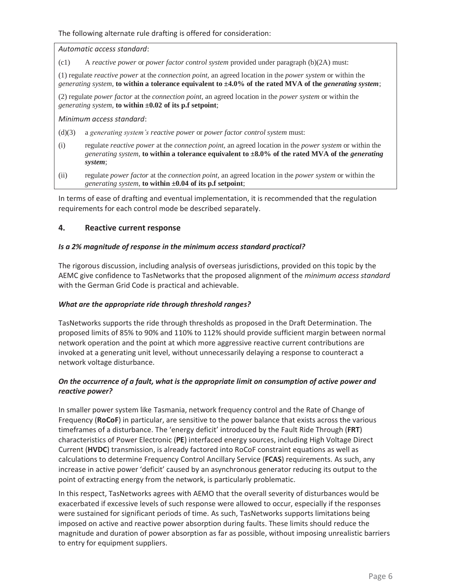The following alternate rule drafting is offered for consideration:

*Automatic access standard*:

(c1) A *reactive power* or *power factor control system* provided under paragraph (b)(2A) must:

(1) regulate *reactive power* at the *connection point,* an agreed location in the *power system* or within the *generating system*, **to within a tolerance equivalent to ±4.0% of the rated MVA of the** *generating system*;

(2) regulate *power factor* at the *connection point,* an agreed location in the *power system* or within the *generating system*, **to within ±0.02 of its p.f setpoint**;

*Minimum access standard*:

- (d)(3) a *generating system's reactive power* or *power factor control system* must:
- (i) regulate *reactive power* at the *connection point,* an agreed location in the *power system* or within the *generating system*, **to within a tolerance equivalent to ±8.0% of the rated MVA of the** *generating system*;
- (ii) regulate *power factor* at the *connection point,* an agreed location in the *power system* or within the *generating system*, **to within ±0.04 of its p.f setpoint**;

In terms of ease of drafting and eventual implementation, it is recommended that the regulation requirements for each control mode be described separately.

## **4. Reactive current response**

#### *Is a 2% magnitude of response in the minimum access standard practical?*

The rigorous discussion, including analysis of overseas jurisdictions, provided on this topic by the AEMC give confidence to TasNetworks that the proposed alignment of the *minimum access standard* with the German Grid Code is practical and achievable.

#### *What are the appropriate ride through threshold ranges?*

TasNetworks supports the ride through thresholds as proposed in the Draft Determination. The proposed limits of 85% to 90% and 110% to 112% should provide sufficient margin between normal network operation and the point at which more aggressive reactive current contributions are invoked at a generating unit level, without unnecessarily delaying a response to counteract a network voltage disturbance.

# *On the occurrence of a fault, what is the appropriate limit on consumption of active power and reactive power?*

In smaller power system like Tasmania, network frequency control and the Rate of Change of Frequency (**RoCoF**) in particular, are sensitive to the power balance that exists across the various timeframes of a disturbance. The 'energy deficit' introduced by the Fault Ride Through (**FRT**) characteristics of Power Electronic (**PE**) interfaced energy sources, including High Voltage Direct Current (**HVDC**) transmission, is already factored into RoCoF constraint equations as well as calculations to determine Frequency Control Ancillary Service (**FCAS**) requirements. As such, any increase in active power 'deficit' caused by an asynchronous generator reducing its output to the point of extracting energy from the network, is particularly problematic.

In this respect, TasNetworks agrees with AEMO that the overall severity of disturbances would be exacerbated if excessive levels of such response were allowed to occur, especially if the responses were sustained for significant periods of time. As such, TasNetworks supports limitations being imposed on active and reactive power absorption during faults. These limits should reduce the magnitude and duration of power absorption as far as possible, without imposing unrealistic barriers to entry for equipment suppliers.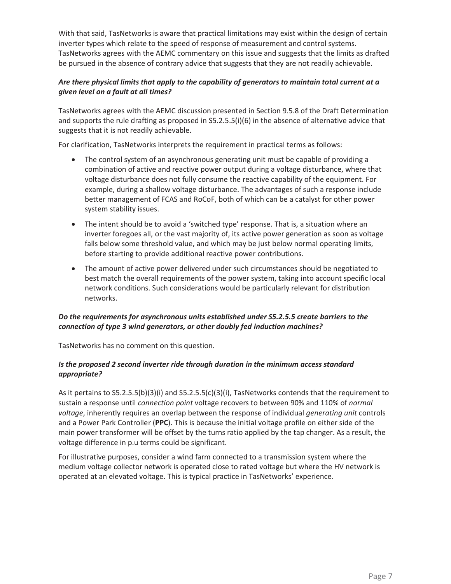With that said, TasNetworks is aware that practical limitations may exist within the design of certain inverter types which relate to the speed of response of measurement and control systems. TasNetworks agrees with the AEMC commentary on this issue and suggests that the limits as drafted be pursued in the absence of contrary advice that suggests that they are not readily achievable.

# *Are there physical limits that apply to the capability of generators to maintain total current at a given level on a fault at all times?*

TasNetworks agrees with the AEMC discussion presented in Section 9.5.8 of the Draft Determination and supports the rule drafting as proposed in S5.2.5.5(i)(6) in the absence of alternative advice that suggests that it is not readily achievable.

For clarification, TasNetworks interprets the requirement in practical terms as follows:

- The control system of an asynchronous generating unit must be capable of providing a combination of active and reactive power output during a voltage disturbance, where that voltage disturbance does not fully consume the reactive capability of the equipment. For example, during a shallow voltage disturbance. The advantages of such a response include better management of FCAS and RoCoF, both of which can be a catalyst for other power system stability issues.
- The intent should be to avoid a 'switched type' response. That is, a situation where an inverter foregoes all, or the vast majority of, its active power generation as soon as voltage falls below some threshold value, and which may be just below normal operating limits, before starting to provide additional reactive power contributions.
- The amount of active power delivered under such circumstances should be negotiated to best match the overall requirements of the power system, taking into account specific local network conditions. Such considerations would be particularly relevant for distribution networks.

# *Do the requirements for asynchronous units established under S5.2.5.5 create barriers to the connection of type 3 wind generators, or other doubly fed induction machines?*

TasNetworks has no comment on this question.

## *Is the proposed 2 second inverter ride through duration in the minimum access standard appropriate?*

As it pertains to S5.2.5.5(b)(3)(i) and S5.2.5.5(c)(3)(i), TasNetworks contends that the requirement to sustain a response until *connection point* voltage recovers to between 90% and 110% of *normal voltage*, inherently requires an overlap between the response of individual *generating unit* controls and a Power Park Controller (**PPC**). This is because the initial voltage profile on either side of the main power transformer will be offset by the turns ratio applied by the tap changer. As a result, the voltage difference in p.u terms could be significant.

For illustrative purposes, consider a wind farm connected to a transmission system where the medium voltage collector network is operated close to rated voltage but where the HV network is operated at an elevated voltage. This is typical practice in TasNetworks' experience.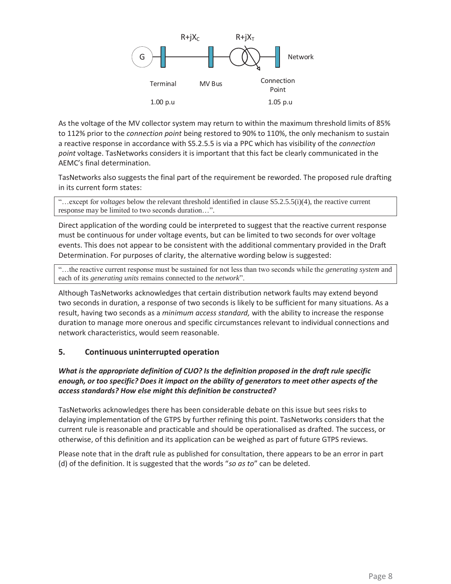

As the voltage of the MV collector system may return to within the maximum threshold limits of 85% to 112% prior to the *connection point* being restored to 90% to 110%, the only mechanism to sustain a reactive response in accordance with S5.2.5.5 is via a PPC which has visibility of the *connection point* voltage. TasNetworks considers it is important that this fact be clearly communicated in the AEMC's final determination.

TasNetworks also suggests the final part of the requirement be reworded. The proposed rule drafting in its current form states:

"…except for *voltages* below the relevant threshold identified in clause S5.2.5.5(i)(4), the reactive current response may be limited to two seconds duration…".

Direct application of the wording could be interpreted to suggest that the reactive current response must be continuous for under voltage events, but can be limited to two seconds for over voltage events. This does not appear to be consistent with the additional commentary provided in the Draft Determination. For purposes of clarity, the alternative wording below is suggested:

"…the reactive current response must be sustained for not less than two seconds while the *generating system* and each of its *generating units* remains connected to the *network*".

Although TasNetworks acknowledges that certain distribution network faults may extend beyond two seconds in duration, a response of two seconds is likely to be sufficient for many situations. As a result, having two seconds as a *minimum access standard,* with the ability to increase the response duration to manage more onerous and specific circumstances relevant to individual connections and network characteristics, would seem reasonable.

#### **5. Continuous uninterrupted operation**

# *What is the appropriate definition of CUO? Is the definition proposed in the draft rule specific enough, or too specific? Does it impact on the ability of generators to meet other aspects of the access standards? How else might this definition be constructed?*

TasNetworks acknowledges there has been considerable debate on this issue but sees risks to delaying implementation of the GTPS by further refining this point. TasNetworks considers that the current rule is reasonable and practicable and should be operationalised as drafted. The success, or otherwise, of this definition and its application can be weighed as part of future GTPS reviews.

Please note that in the draft rule as published for consultation, there appears to be an error in part (d) of the definition. It is suggested that the words "*so as to*" can be deleted.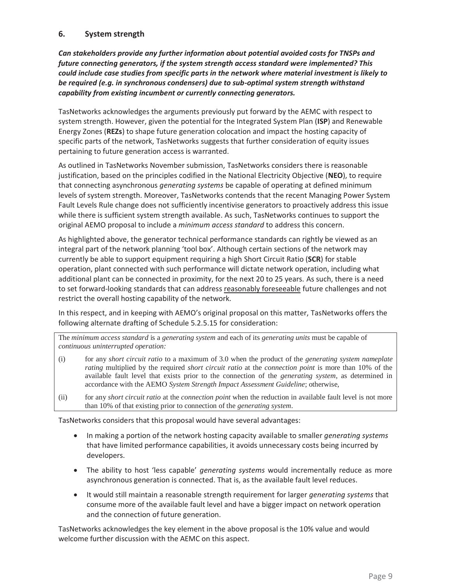# **6. System strength**

*Can stakeholders provide any further information about potential avoided costs for TNSPs and future connecting generators, if the system strength access standard were implemented? This could include case studies from specific parts in the network where material investment is likely to be required (e.g. in synchronous condensers) due to sub-optimal system strength withstand capability from existing incumbent or currently connecting generators.* 

TasNetworks acknowledges the arguments previously put forward by the AEMC with respect to system strength. However, given the potential for the Integrated System Plan (**ISP**) and Renewable Energy Zones (**REZs**) to shape future generation colocation and impact the hosting capacity of specific parts of the network, TasNetworks suggests that further consideration of equity issues pertaining to future generation access is warranted.

As outlined in TasNetworks November submission, TasNetworks considers there is reasonable justification, based on the principles codified in the National Electricity Objective (**NEO**), to require that connecting asynchronous *generating systems* be capable of operating at defined minimum levels of system strength. Moreover, TasNetworks contends that the recent Managing Power System Fault Levels Rule change does not sufficiently incentivise generators to proactively address this issue while there is sufficient system strength available. As such, TasNetworks continues to support the original AEMO proposal to include a *minimum access standard* to address this concern.

As highlighted above, the generator technical performance standards can rightly be viewed as an integral part of the network planning 'tool box'. Although certain sections of the network may currently be able to support equipment requiring a high Short Circuit Ratio (**SCR**) for stable operation, plant connected with such performance will dictate network operation, including what additional plant can be connected in proximity, for the next 20 to 25 years. As such, there is a need to set forward-looking standards that can address reasonably foreseeable future challenges and not restrict the overall hosting capability of the network.

In this respect, and in keeping with AEMO's original proposal on this matter, TasNetworks offers the following alternate drafting of Schedule 5.2.5.15 for consideration:

The *minimum access standard* is a *generating system* and each of its *generating units* must be capable of *continuous uninterrupted operation:*

- (i) for any *short circuit ratio* to a maximum of 3.0 when the product of the *generating system nameplate rating* multiplied by the required *short circuit ratio* at the *connection point* is more than 10% of the available fault level that exists prior to the connection of the *generating system*, as determined in accordance with the AEMO *System Strength Impact Assessment Guideline*; otherwise,
- (ii) for any *short circuit ratio* at the *connection point* when the reduction in available fault level is not more than 10% of that existing prior to connection of the *generating system*.

TasNetworks considers that this proposal would have several advantages:

- x In making a portion of the network hosting capacity available to smaller *generating systems* that have limited performance capabilities, it avoids unnecessary costs being incurred by developers.
- The ability to host 'less capable' *generating systems* would incrementally reduce as more asynchronous generation is connected. That is, as the available fault level reduces.
- x It would still maintain a reasonable strength requirement for larger *generating systems* that consume more of the available fault level and have a bigger impact on network operation and the connection of future generation.

TasNetworks acknowledges the key element in the above proposal is the 10% value and would welcome further discussion with the AEMC on this aspect.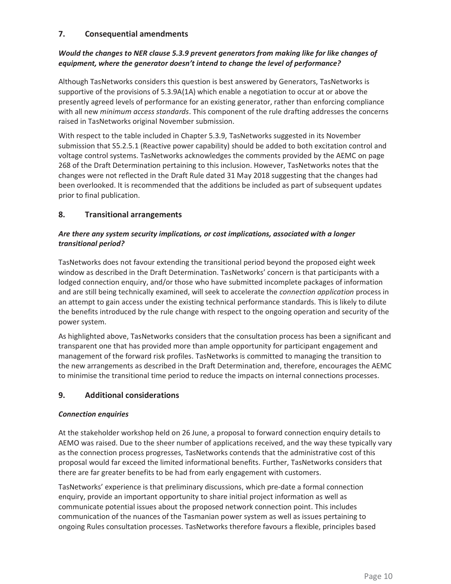# **7. Consequential amendments**

# *Would the changes to NER clause 5.3.9 prevent generators from making like for like changes of equipment, where the generator doesn't intend to change the level of performance?*

Although TasNetworks considers this question is best answered by Generators, TasNetworks is supportive of the provisions of 5.3.9A(1A) which enable a negotiation to occur at or above the presently agreed levels of performance for an existing generator, rather than enforcing compliance with all new *minimum access standards*. This component of the rule drafting addresses the concerns raised in TasNetworks original November submission.

With respect to the table included in Chapter 5.3.9, TasNetworks suggested in its November submission that S5.2.5.1 (Reactive power capability) should be added to both excitation control and voltage control systems. TasNetworks acknowledges the comments provided by the AEMC on page 268 of the Draft Determination pertaining to this inclusion. However, TasNetworks notes that the changes were not reflected in the Draft Rule dated 31 May 2018 suggesting that the changes had been overlooked. It is recommended that the additions be included as part of subsequent updates prior to final publication.

# **8. Transitional arrangements**

# *Are there any system security implications, or cost implications, associated with a longer transitional period?*

TasNetworks does not favour extending the transitional period beyond the proposed eight week window as described in the Draft Determination. TasNetworks' concern is that participants with a lodged connection enquiry, and/or those who have submitted incomplete packages of information and are still being technically examined, will seek to accelerate the *connection application* process in an attempt to gain access under the existing technical performance standards. This is likely to dilute the benefits introduced by the rule change with respect to the ongoing operation and security of the power system.

As highlighted above, TasNetworks considers that the consultation process has been a significant and transparent one that has provided more than ample opportunity for participant engagement and management of the forward risk profiles. TasNetworks is committed to managing the transition to the new arrangements as described in the Draft Determination and, therefore, encourages the AEMC to minimise the transitional time period to reduce the impacts on internal connections processes.

# **9. Additional considerations**

#### *Connection enquiries*

At the stakeholder workshop held on 26 June, a proposal to forward connection enquiry details to AEMO was raised. Due to the sheer number of applications received, and the way these typically vary as the connection process progresses, TasNetworks contends that the administrative cost of this proposal would far exceed the limited informational benefits. Further, TasNetworks considers that there are far greater benefits to be had from early engagement with customers.

TasNetworks' experience is that preliminary discussions, which pre-date a formal connection enquiry, provide an important opportunity to share initial project information as well as communicate potential issues about the proposed network connection point. This includes communication of the nuances of the Tasmanian power system as well as issues pertaining to ongoing Rules consultation processes. TasNetworks therefore favours a flexible, principles based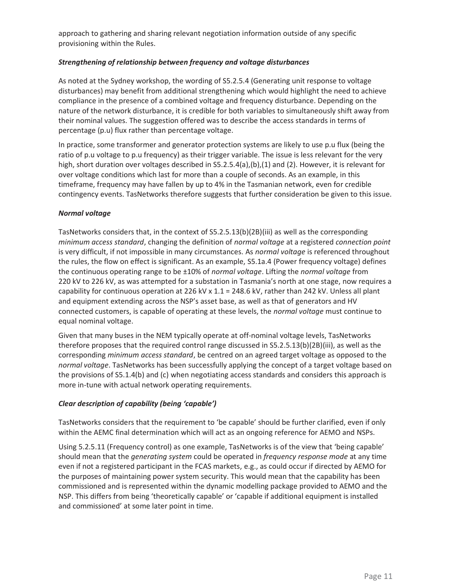approach to gathering and sharing relevant negotiation information outside of any specific provisioning within the Rules.

## *Strengthening of relationship between frequency and voltage disturbances*

As noted at the Sydney workshop, the wording of S5.2.5.4 (Generating unit response to voltage disturbances) may benefit from additional strengthening which would highlight the need to achieve compliance in the presence of a combined voltage and frequency disturbance. Depending on the nature of the network disturbance, it is credible for both variables to simultaneously shift away from their nominal values. The suggestion offered was to describe the access standards in terms of percentage (p.u) flux rather than percentage voltage.

In practice, some transformer and generator protection systems are likely to use p.u flux (being the ratio of p.u voltage to p.u frequency) as their trigger variable. The issue is less relevant for the very high, short duration over voltages described in S5.2.5.4(a),(b),(1) and (2). However, it is relevant for over voltage conditions which last for more than a couple of seconds. As an example, in this timeframe, frequency may have fallen by up to 4% in the Tasmanian network, even for credible contingency events. TasNetworks therefore suggests that further consideration be given to this issue.

#### *Normal voltage*

TasNetworks considers that, in the context of S5.2.5.13(b)(2B)(iii) as well as the corresponding *minimum access standard*, changing the definition of *normal voltage* at a registered *connection point* is very difficult, if not impossible in many circumstances. As *normal voltage* is referenced throughout the rules, the flow on effect is significant. As an example, S5.1a.4 (Power frequency voltage) defines the continuous operating range to be ±10% of *normal voltage*. Lifting the *normal voltage* from 220 kV to 226 kV, as was attempted for a substation in Tasmania's north at one stage, now requires a capability for continuous operation at 226 kV x 1.1 = 248.6 kV, rather than 242 kV. Unless all plant and equipment extending across the NSP's asset base, as well as that of generators and HV connected customers, is capable of operating at these levels, the *normal voltage* must continue to equal nominal voltage.

Given that many buses in the NEM typically operate at off-nominal voltage levels, TasNetworks therefore proposes that the required control range discussed in S5.2.5.13(b)(2B)(iii), as well as the corresponding *minimum access standard*, be centred on an agreed target voltage as opposed to the *normal voltage*. TasNetworks has been successfully applying the concept of a target voltage based on the provisions of S5.1.4(b) and (c) when negotiating access standards and considers this approach is more in-tune with actual network operating requirements.

#### *Clear description of capability (being 'capable')*

TasNetworks considers that the requirement to 'be capable' should be further clarified, even if only within the AEMC final determination which will act as an ongoing reference for AEMO and NSPs.

Using 5.2.5.11 (Frequency control) as one example, TasNetworks is of the view that 'being capable' should mean that the *generating system* could be operated in *frequency response mode* at any time even if not a registered participant in the FCAS markets, e.g., as could occur if directed by AEMO for the purposes of maintaining power system security. This would mean that the capability has been commissioned and is represented within the dynamic modelling package provided to AEMO and the NSP. This differs from being 'theoretically capable' or 'capable if additional equipment is installed and commissioned' at some later point in time.